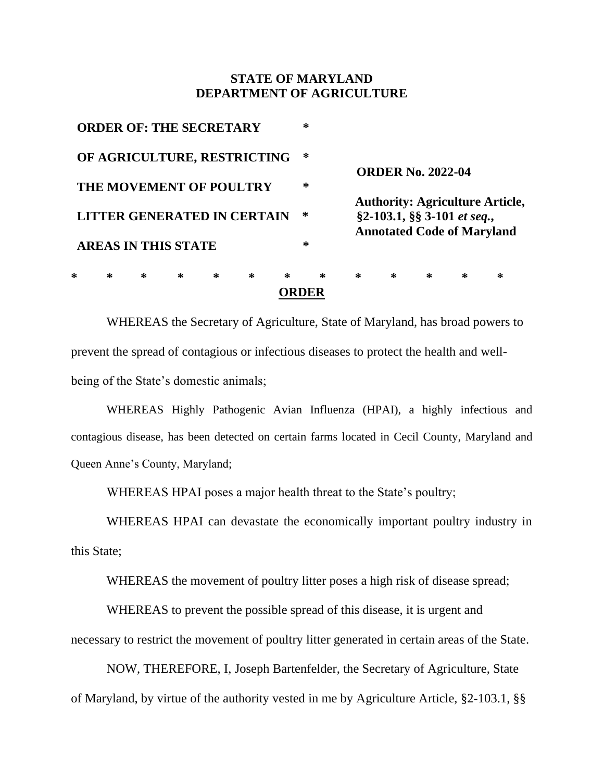## **STATE OF MARYLAND DEPARTMENT OF AGRICULTURE**

| ∗                              | ∗ | ∗ | ∗                              | ∗ | ∗ | $\ast$ | * | $\ast$                                                                                                     | $\ast$ | $\ast$ | ∗ | ∗ |
|--------------------------------|---|---|--------------------------------|---|---|--------|---|------------------------------------------------------------------------------------------------------------|--------|--------|---|---|
|                                |   |   | <b>AREAS IN THIS STATE</b>     |   |   |        | ∗ |                                                                                                            |        |        |   |   |
| LITTER GENERATED IN CERTAIN    |   |   |                                |   |   |        | ∗ | <b>Authority: Agriculture Article,</b><br>§2-103.1, §§ 3-101 et seq.,<br><b>Annotated Code of Maryland</b> |        |        |   |   |
| <b>THE MOVEMENT OF POULTRY</b> |   |   |                                |   |   |        | ∗ | <b>ORDER No. 2022-04</b>                                                                                   |        |        |   |   |
| OF AGRICULTURE, RESTRICTING    |   |   |                                |   |   |        | ∗ |                                                                                                            |        |        |   |   |
|                                |   |   | <b>ORDER OF: THE SECRETARY</b> |   |   |        | * |                                                                                                            |        |        |   |   |

WHEREAS the Secretary of Agriculture, State of Maryland, has broad powers to prevent the spread of contagious or infectious diseases to protect the health and wellbeing of the State's domestic animals;

WHEREAS Highly Pathogenic Avian Influenza (HPAI), a highly infectious and contagious disease, has been detected on certain farms located in Cecil County, Maryland and Queen Anne's County, Maryland;

WHEREAS HPAI poses a major health threat to the State's poultry;

WHEREAS HPAI can devastate the economically important poultry industry in this State;

WHEREAS the movement of poultry litter poses a high risk of disease spread;

WHEREAS to prevent the possible spread of this disease, it is urgent and necessary to restrict the movement of poultry litter generated in certain areas of the State.

NOW, THEREFORE, I, Joseph Bartenfelder, the Secretary of Agriculture, State of Maryland, by virtue of the authority vested in me by Agriculture Article, §2-103.1, §§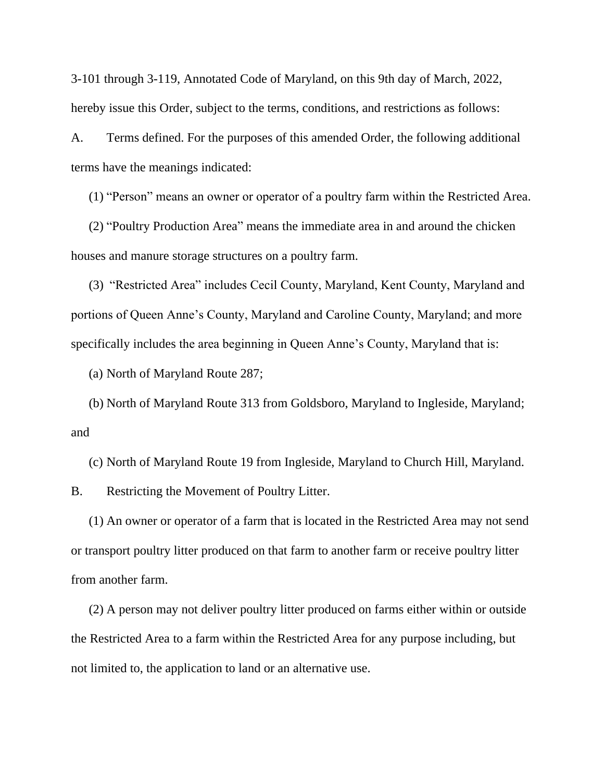3-101 through 3-119, Annotated Code of Maryland, on this 9th day of March, 2022, hereby issue this Order, subject to the terms, conditions, and restrictions as follows:

A. Terms defined. For the purposes of this amended Order, the following additional terms have the meanings indicated:

(1) "Person" means an owner or operator of a poultry farm within the Restricted Area.

(2) "Poultry Production Area" means the immediate area in and around the chicken houses and manure storage structures on a poultry farm.

(3) "Restricted Area" includes Cecil County, Maryland, Kent County, Maryland and portions of Queen Anne's County, Maryland and Caroline County, Maryland; and more specifically includes the area beginning in Queen Anne's County, Maryland that is:

(a) North of Maryland Route 287;

(b) North of Maryland Route 313 from Goldsboro, Maryland to Ingleside, Maryland; and

(c) North of Maryland Route 19 from Ingleside, Maryland to Church Hill, Maryland.

B. Restricting the Movement of Poultry Litter.

(1) An owner or operator of a farm that is located in the Restricted Area may not send or transport poultry litter produced on that farm to another farm or receive poultry litter from another farm.

(2) A person may not deliver poultry litter produced on farms either within or outside the Restricted Area to a farm within the Restricted Area for any purpose including, but not limited to, the application to land or an alternative use.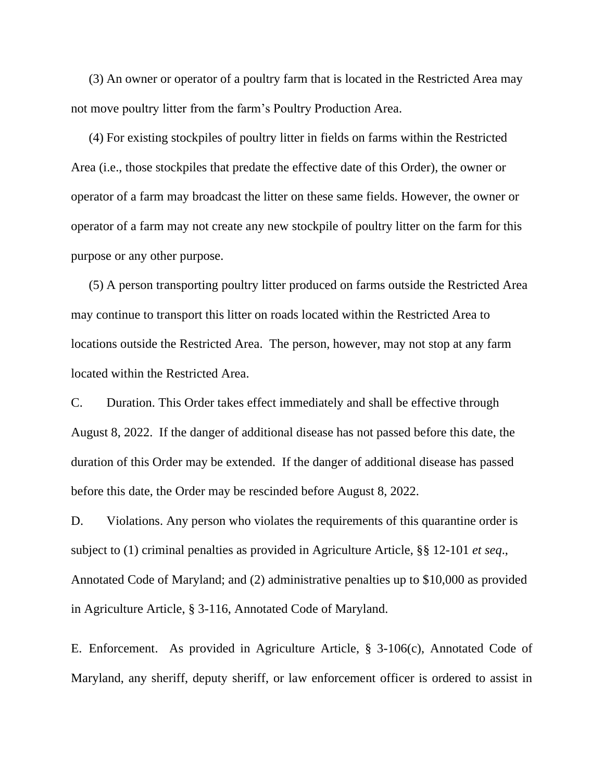(3) An owner or operator of a poultry farm that is located in the Restricted Area may not move poultry litter from the farm's Poultry Production Area.

(4) For existing stockpiles of poultry litter in fields on farms within the Restricted Area (i.e., those stockpiles that predate the effective date of this Order), the owner or operator of a farm may broadcast the litter on these same fields. However, the owner or operator of a farm may not create any new stockpile of poultry litter on the farm for this purpose or any other purpose.

(5) A person transporting poultry litter produced on farms outside the Restricted Area may continue to transport this litter on roads located within the Restricted Area to locations outside the Restricted Area. The person, however, may not stop at any farm located within the Restricted Area.

C. Duration. This Order takes effect immediately and shall be effective through August 8, 2022. If the danger of additional disease has not passed before this date, the duration of this Order may be extended. If the danger of additional disease has passed before this date, the Order may be rescinded before August 8, 2022.

D. Violations. Any person who violates the requirements of this quarantine order is subject to (1) criminal penalties as provided in Agriculture Article, §§ 12-101 *et seq*., Annotated Code of Maryland; and (2) administrative penalties up to \$10,000 as provided in Agriculture Article, § 3-116, Annotated Code of Maryland.

E. Enforcement. As provided in Agriculture Article, § 3-106(c), Annotated Code of Maryland, any sheriff, deputy sheriff, or law enforcement officer is ordered to assist in